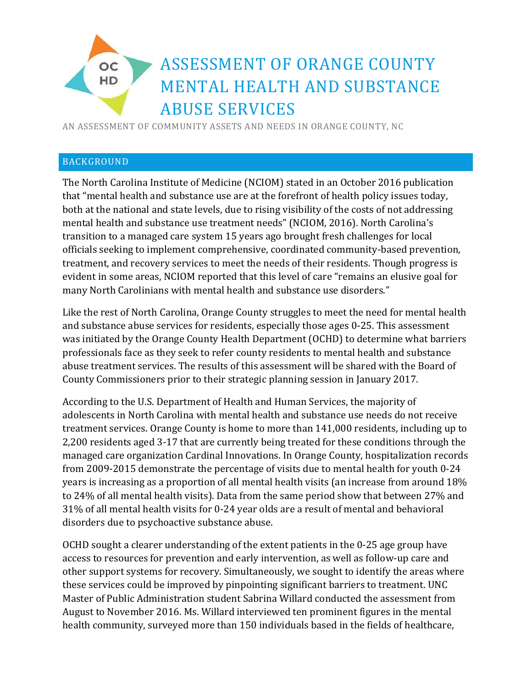# ASSESSMENT OF ORANGE COUNTY **OC** HD MENTAL HEALTH AND SUBSTANCE ABUSE SERVICES

AN ASSESSMENT OF COMMUNITY ASSETS AND NEEDS IN ORANGE COUNTY, NC

### BACKGROUND

The North Carolina Institute of Medicine (NCIOM) stated in an October 2016 publication that "mental health and substance use are at the forefront of health policy issues today, both at the national and state levels, due to rising visibility of the costs of not addressing mental health and substance use treatment needs" (NCIOM, 2016). North Carolina's transition to a managed care system 15 years ago brought fresh challenges for local officials seeking to implement comprehensive, coordinated community-based prevention, treatment, and recovery services to meet the needs of their residents. Though progress is evident in some areas, NCIOM reported that this level of care "remains an elusive goal for many North Carolinians with mental health and substance use disorders."

Like the rest of North Carolina, Orange County struggles to meet the need for mental health and substance abuse services for residents, especially those ages 0-25. This assessment was initiated by the Orange County Health Department (OCHD) to determine what barriers professionals face as they seek to refer county residents to mental health and substance abuse treatment services. The results of this assessment will be shared with the Board of County Commissioners prior to their strategic planning session in January 2017.

According to the U.S. Department of Health and Human Services, the majority of adolescents in North Carolina with mental health and substance use needs do not receive treatment services. Orange County is home to more than 141,000 residents, including up to 2,200 residents aged 3-17 that are currently being treated for these conditions through the managed care organization Cardinal Innovations. In Orange County, hospitalization records from 2009-2015 demonstrate the percentage of visits due to mental health for youth 0-24 years is increasing as a proportion of all mental health visits (an increase from around 18% to 24% of all mental health visits). Data from the same period show that between 27% and 31% of all mental health visits for 0-24 year olds are a result of mental and behavioral disorders due to psychoactive substance abuse.

OCHD sought a clearer understanding of the extent patients in the 0-25 age group have access to resources for prevention and early intervention, as well as follow-up care and other support systems for recovery. Simultaneously, we sought to identify the areas where these services could be improved by pinpointing significant barriers to treatment. UNC Master of Public Administration student Sabrina Willard conducted the assessment from August to November 2016. Ms. Willard interviewed ten prominent figures in the mental health community, surveyed more than 150 individuals based in the fields of healthcare,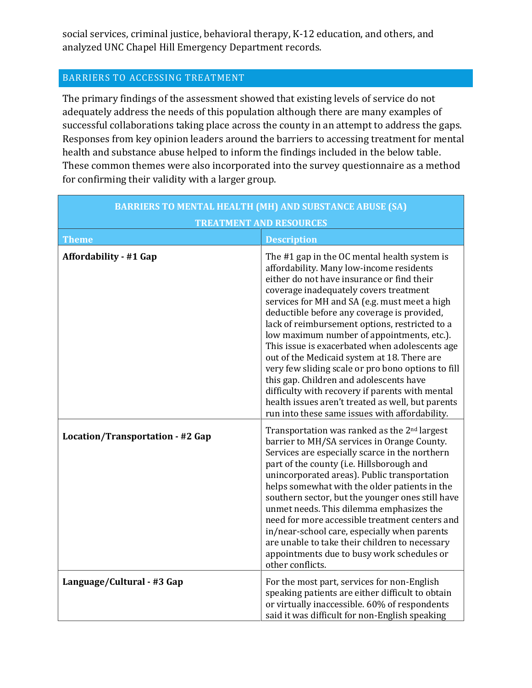social services, criminal justice, behavioral therapy, K-12 education, and others, and analyzed UNC Chapel Hill Emergency Department records.

# BARRIERS TO ACCESSING TREATMENT

The primary findings of the assessment showed that existing levels of service do not adequately address the needs of this population although there are many examples of successful collaborations taking place across the county in an attempt to address the gaps. Responses from key opinion leaders around the barriers to accessing treatment for mental health and substance abuse helped to inform the findings included in the below table. These common themes were also incorporated into the survey questionnaire as a method for confirming their validity with a larger group.

| <b>BARRIERS TO MENTAL HEALTH (MH) AND SUBSTANCE ABUSE (SA)</b> |                                                                                                                                                                                                                                                                                                                                                                                                                                                                                                                                                                                                                                                                                                                                              |
|----------------------------------------------------------------|----------------------------------------------------------------------------------------------------------------------------------------------------------------------------------------------------------------------------------------------------------------------------------------------------------------------------------------------------------------------------------------------------------------------------------------------------------------------------------------------------------------------------------------------------------------------------------------------------------------------------------------------------------------------------------------------------------------------------------------------|
| <b>TREATMENT AND RESOURCES</b>                                 |                                                                                                                                                                                                                                                                                                                                                                                                                                                                                                                                                                                                                                                                                                                                              |
| <b>Theme</b>                                                   | <b>Description</b>                                                                                                                                                                                                                                                                                                                                                                                                                                                                                                                                                                                                                                                                                                                           |
| <b>Affordability - #1 Gap</b>                                  | The #1 gap in the OC mental health system is<br>affordability. Many low-income residents<br>either do not have insurance or find their<br>coverage inadequately covers treatment<br>services for MH and SA (e.g. must meet a high<br>deductible before any coverage is provided,<br>lack of reimbursement options, restricted to a<br>low maximum number of appointments, etc.).<br>This issue is exacerbated when adolescents age<br>out of the Medicaid system at 18. There are<br>very few sliding scale or pro bono options to fill<br>this gap. Children and adolescents have<br>difficulty with recovery if parents with mental<br>health issues aren't treated as well, but parents<br>run into these same issues with affordability. |
| Location/Transportation - #2 Gap                               | Transportation was ranked as the 2 <sup>nd</sup> largest<br>barrier to MH/SA services in Orange County.<br>Services are especially scarce in the northern<br>part of the county (i.e. Hillsborough and<br>unincorporated areas). Public transportation<br>helps somewhat with the older patients in the<br>southern sector, but the younger ones still have<br>unmet needs. This dilemma emphasizes the<br>need for more accessible treatment centers and<br>in/near-school care, especially when parents<br>are unable to take their children to necessary<br>appointments due to busy work schedules or<br>other conflicts.                                                                                                                |
| Language/Cultural - #3 Gap                                     | For the most part, services for non-English<br>speaking patients are either difficult to obtain<br>or virtually inaccessible. 60% of respondents<br>said it was difficult for non-English speaking                                                                                                                                                                                                                                                                                                                                                                                                                                                                                                                                           |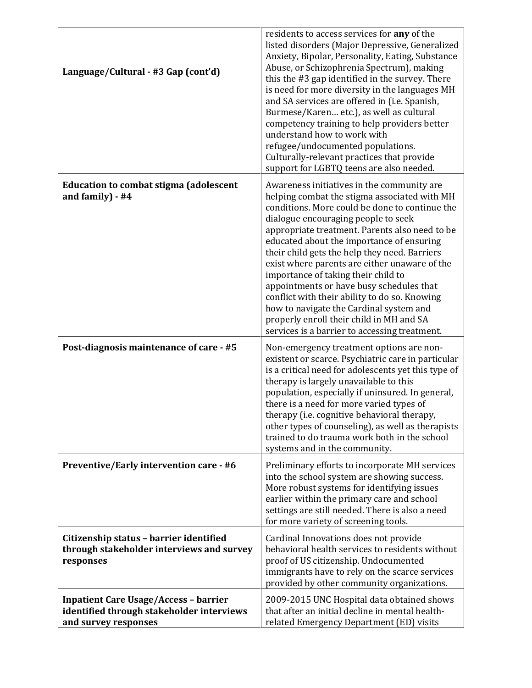| Language/Cultural - #3 Gap (cont'd)                                                                               | residents to access services for any of the<br>listed disorders (Major Depressive, Generalized<br>Anxiety, Bipolar, Personality, Eating, Substance<br>Abuse, or Schizophrenia Spectrum), making<br>this the #3 gap identified in the survey. There<br>is need for more diversity in the languages MH<br>and SA services are offered in (i.e. Spanish,<br>Burmese/Karen etc.), as well as cultural<br>competency training to help providers better<br>understand how to work with<br>refugee/undocumented populations.<br>Culturally-relevant practices that provide<br>support for LGBTQ teens are also needed.                                                  |
|-------------------------------------------------------------------------------------------------------------------|------------------------------------------------------------------------------------------------------------------------------------------------------------------------------------------------------------------------------------------------------------------------------------------------------------------------------------------------------------------------------------------------------------------------------------------------------------------------------------------------------------------------------------------------------------------------------------------------------------------------------------------------------------------|
| <b>Education to combat stigma (adolescent</b><br>and family) - #4                                                 | Awareness initiatives in the community are<br>helping combat the stigma associated with MH<br>conditions. More could be done to continue the<br>dialogue encouraging people to seek<br>appropriate treatment. Parents also need to be<br>educated about the importance of ensuring<br>their child gets the help they need. Barriers<br>exist where parents are either unaware of the<br>importance of taking their child to<br>appointments or have busy schedules that<br>conflict with their ability to do so. Knowing<br>how to navigate the Cardinal system and<br>properly enroll their child in MH and SA<br>services is a barrier to accessing treatment. |
| Post-diagnosis maintenance of care - #5                                                                           | Non-emergency treatment options are non-<br>existent or scarce. Psychiatric care in particular<br>is a critical need for adolescents yet this type of<br>therapy is largely unavailable to this<br>population, especially if uninsured. In general,<br>there is a need for more varied types of<br>therapy (i.e. cognitive behavioral therapy,<br>other types of counseling), as well as therapists<br>trained to do trauma work both in the school<br>systems and in the community.                                                                                                                                                                             |
| <b>Preventive/Early intervention care - #6</b>                                                                    | Preliminary efforts to incorporate MH services<br>into the school system are showing success.<br>More robust systems for identifying issues<br>earlier within the primary care and school<br>settings are still needed. There is also a need<br>for more variety of screening tools.                                                                                                                                                                                                                                                                                                                                                                             |
| Citizenship status - barrier identified<br>through stakeholder interviews and survey<br>responses                 | Cardinal Innovations does not provide<br>behavioral health services to residents without<br>proof of US citizenship. Undocumented<br>immigrants have to rely on the scarce services<br>provided by other community organizations.                                                                                                                                                                                                                                                                                                                                                                                                                                |
| <b>Inpatient Care Usage/Access - barrier</b><br>identified through stakeholder interviews<br>and survey responses | 2009-2015 UNC Hospital data obtained shows<br>that after an initial decline in mental health-<br>related Emergency Department (ED) visits                                                                                                                                                                                                                                                                                                                                                                                                                                                                                                                        |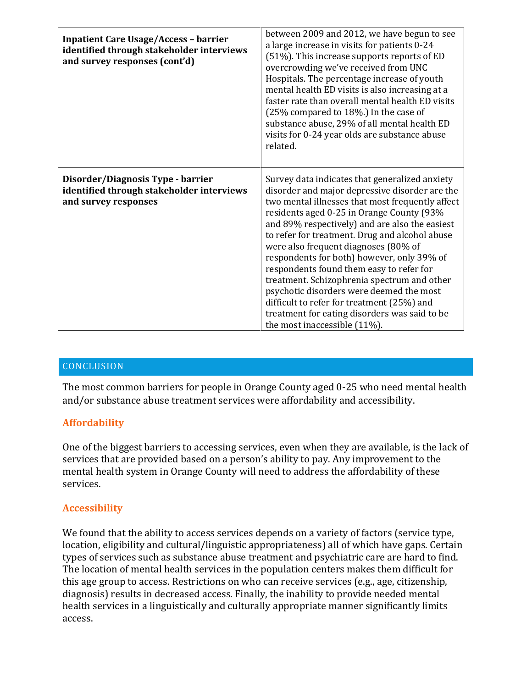| <b>Inpatient Care Usage/Access - barrier</b><br>identified through stakeholder interviews<br>and survey responses (cont'd) | between 2009 and 2012, we have begun to see<br>a large increase in visits for patients 0-24<br>(51%). This increase supports reports of ED<br>overcrowding we've received from UNC<br>Hospitals. The percentage increase of youth<br>mental health ED visits is also increasing at a<br>faster rate than overall mental health ED visits<br>(25% compared to 18%.) In the case of<br>substance abuse, 29% of all mental health ED<br>visits for 0-24 year olds are substance abuse<br>related.                                                                                                                                                                    |
|----------------------------------------------------------------------------------------------------------------------------|-------------------------------------------------------------------------------------------------------------------------------------------------------------------------------------------------------------------------------------------------------------------------------------------------------------------------------------------------------------------------------------------------------------------------------------------------------------------------------------------------------------------------------------------------------------------------------------------------------------------------------------------------------------------|
| Disorder/Diagnosis Type - barrier<br>identified through stakeholder interviews<br>and survey responses                     | Survey data indicates that generalized anxiety<br>disorder and major depressive disorder are the<br>two mental illnesses that most frequently affect<br>residents aged 0-25 in Orange County (93%<br>and 89% respectively) and are also the easiest<br>to refer for treatment. Drug and alcohol abuse<br>were also frequent diagnoses (80% of<br>respondents for both) however, only 39% of<br>respondents found them easy to refer for<br>treatment. Schizophrenia spectrum and other<br>psychotic disorders were deemed the most<br>difficult to refer for treatment (25%) and<br>treatment for eating disorders was said to be<br>the most inaccessible (11%). |

# **CONCLUSION**

The most common barriers for people in Orange County aged 0-25 who need mental health and/or substance abuse treatment services were affordability and accessibility.

## **Affordability**

One of the biggest barriers to accessing services, even when they are available, is the lack of services that are provided based on a person's ability to pay. Any improvement to the mental health system in Orange County will need to address the affordability of these services.

## **Accessibility**

We found that the ability to access services depends on a variety of factors (service type, location, eligibility and cultural/linguistic appropriateness) all of which have gaps. Certain types of services such as substance abuse treatment and psychiatric care are hard to find. The location of mental health services in the population centers makes them difficult for this age group to access. Restrictions on who can receive services (e.g., age, citizenship, diagnosis) results in decreased access. Finally, the inability to provide needed mental health services in a linguistically and culturally appropriate manner significantly limits access.